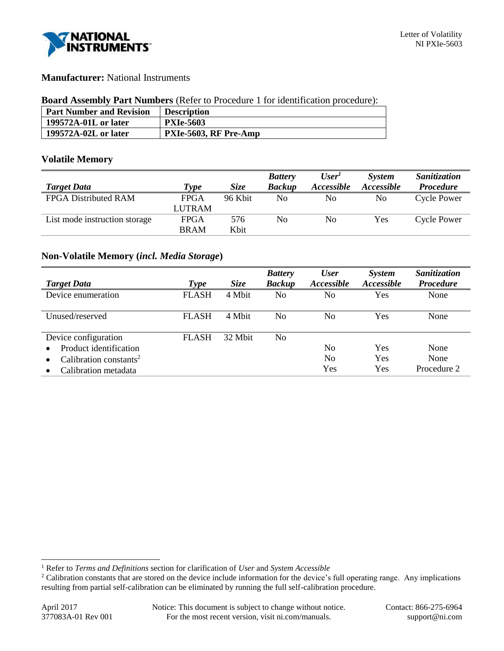

# **Manufacturer:** National Instruments

#### **Board Assembly Part Numbers** (Refer to Procedure 1 for identification procedure):

| <b>Part Number and Revision</b> | <b>Description</b>    |
|---------------------------------|-----------------------|
| 199572A-01L or later            | <b>PXIe-5603</b>      |
| 199572A-02L or later            | PXIe-5603, RF Pre-Amp |

## **Volatile Memory**

|                               |               |             | <b>Battery</b> | User <sup>T</sup> | <b>System</b> | <b>Sanitization</b> |
|-------------------------------|---------------|-------------|----------------|-------------------|---------------|---------------------|
| <b>Target Data</b>            | Type          | <i>Size</i> | <b>Backup</b>  | Accessible        | Accessible    | <b>Procedure</b>    |
| <b>FPGA Distributed RAM</b>   | <b>FPGA</b>   | 96 Kbit     | No             | No                | No.           | <b>Cycle Power</b>  |
|                               | <b>LUTRAM</b> |             |                |                   |               |                     |
| List mode instruction storage | <b>FPGA</b>   | 576         | No             | No                | Yes           | <b>Cycle Power</b>  |
|                               | <b>BRAM</b>   | Khit        |                |                   |               |                     |

# **Non-Volatile Memory (***incl. Media Storage***)**

|                                    |              |             | <b>Battery</b> | <b>User</b>              | <b>System</b> | Sanitization     |
|------------------------------------|--------------|-------------|----------------|--------------------------|---------------|------------------|
| <b>Target Data</b>                 | Type         | <b>Size</b> | <b>Backup</b>  | <i><b>Accessible</b></i> | Accessible    | <b>Procedure</b> |
| Device enumeration                 | <b>FLASH</b> | 4 Mbit      | No             | No                       | Yes           | None             |
| Unused/reserved                    | <b>FLASH</b> | 4 Mbit      | No.            | No                       | Yes           | None             |
| Device configuration               | <b>FLASH</b> | 32 Mbit     | No             |                          |               |                  |
| Product identification             |              |             |                | N <sub>0</sub>           | Yes           | None             |
| Calibration constants <sup>2</sup> |              |             |                | N <sub>0</sub>           | Yes           | None             |
| Calibration metadata               |              |             |                | Yes                      | Yes           | Procedure 2      |

l

<sup>1</sup> Refer to *Terms and Definitions* section for clarification of *User* and *System Accessible*

<sup>&</sup>lt;sup>2</sup> Calibration constants that are stored on the device include information for the device's full operating range. Any implications resulting from partial self-calibration can be eliminated by running the full self-calibration procedure.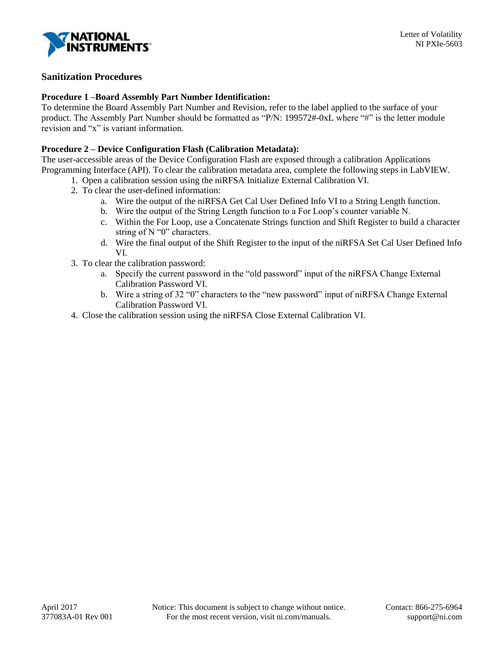

# **Sanitization Procedures**

#### **Procedure 1 –Board Assembly Part Number Identification:**

To determine the Board Assembly Part Number and Revision, refer to the label applied to the surface of your product. The Assembly Part Number should be formatted as "P/N: 199572#-0xL where "#" is the letter module revision and "x" is variant information.

#### **Procedure 2 – Device Configuration Flash (Calibration Metadata):**

The user-accessible areas of the Device Configuration Flash are exposed through a calibration Applications Programming Interface (API). To clear the calibration metadata area, complete the following steps in LabVIEW.

- 1. Open a calibration session using the niRFSA Initialize External Calibration VI.
- 2. To clear the user-defined information:
	- a. Wire the output of the niRFSA Get Cal User Defined Info VI to a String Length function.
	- b. Wire the output of the String Length function to a For Loop's counter variable N.
	- c. Within the For Loop, use a Concatenate Strings function and Shift Register to build a character string of N "0" characters.
	- d. Wire the final output of the Shift Register to the input of the niRFSA Set Cal User Defined Info VI.
- 3. To clear the calibration password:
	- a. Specify the current password in the "old password" input of the niRFSA Change External Calibration Password VI.
	- b. Wire a string of 32 "0" characters to the "new password" input of niRFSA Change External Calibration Password VI.
- 4. Close the calibration session using the niRFSA Close External Calibration VI.